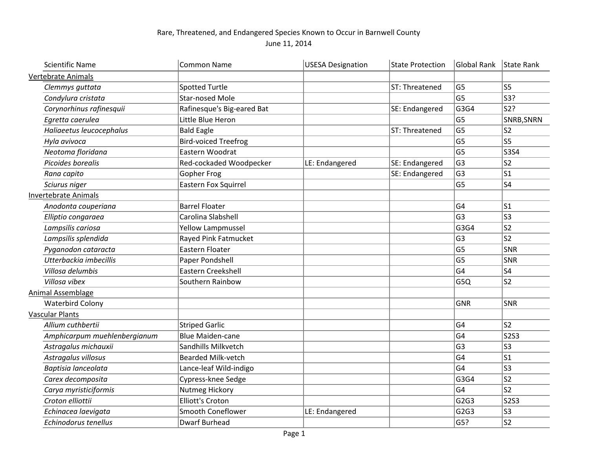## Rare, Threatened, and Endangered Species Known to Occur in Barnwell County June 11, 2014

| <b>Scientific Name</b>       | <b>Common Name</b>          | <b>USESA Designation</b> | <b>State Protection</b> | Global Rank    | State Rank     |
|------------------------------|-----------------------------|--------------------------|-------------------------|----------------|----------------|
| <b>Vertebrate Animals</b>    |                             |                          |                         |                |                |
| Clemmys guttata              | <b>Spotted Turtle</b>       |                          | ST: Threatened          | G <sub>5</sub> | S5             |
| Condylura cristata           | <b>Star-nosed Mole</b>      |                          |                         | G <sub>5</sub> | S3?            |
| Corynorhinus rafinesquii     | Rafinesque's Big-eared Bat  |                          | SE: Endangered          | G3G4           | S2?            |
| Egretta caerulea             | Little Blue Heron           |                          |                         | G <sub>5</sub> | SNRB, SNRN     |
| Haliaeetus leucocephalus     | <b>Bald Eagle</b>           |                          | ST: Threatened          | G <sub>5</sub> | S <sub>2</sub> |
| Hyla avivoca                 | <b>Bird-voiced Treefrog</b> |                          |                         | G <sub>5</sub> | S5             |
| Neotoma floridana            | Eastern Woodrat             |                          |                         | G <sub>5</sub> | S354           |
| Picoides borealis            | Red-cockaded Woodpecker     | LE: Endangered           | SE: Endangered          | G <sub>3</sub> | S <sub>2</sub> |
| Rana capito                  | <b>Gopher Frog</b>          |                          | SE: Endangered          | G <sub>3</sub> | S1             |
| Sciurus niger                | <b>Eastern Fox Squirrel</b> |                          |                         | G <sub>5</sub> | S4             |
| <b>Invertebrate Animals</b>  |                             |                          |                         |                |                |
| Anodonta couperiana          | <b>Barrel Floater</b>       |                          |                         | G <sub>4</sub> | S1             |
| Elliptio congaraea           | Carolina Slabshell          |                          |                         | G <sub>3</sub> | $ $ S3         |
| Lampsilis cariosa            | <b>Yellow Lampmussel</b>    |                          |                         | G3G4           | s2             |
| Lampsilis splendida          | Rayed Pink Fatmucket        |                          |                         | G <sub>3</sub> | $ s_2 $        |
| Pyganodon cataracta          | <b>Eastern Floater</b>      |                          |                         | G <sub>5</sub> | <sub>SNR</sub> |
| Utterbackia imbecillis       | Paper Pondshell             |                          |                         | G <sub>5</sub> | SNR            |
| Villosa delumbis             | Eastern Creekshell          |                          |                         | G4             | S4             |
| Villosa vibex                | Southern Rainbow            |                          |                         | G5Q            | S <sub>2</sub> |
| <b>Animal Assemblage</b>     |                             |                          |                         |                |                |
| <b>Waterbird Colony</b>      |                             |                          |                         | <b>GNR</b>     | <b>SNR</b>     |
| <b>Vascular Plants</b>       |                             |                          |                         |                |                |
| Allium cuthbertii            | <b>Striped Garlic</b>       |                          |                         | G <sub>4</sub> | S <sub>2</sub> |
| Amphicarpum muehlenbergianum | <b>Blue Maiden-cane</b>     |                          |                         | G <sub>4</sub> | $ $ S2S3       |
| Astragalus michauxii         | Sandhills Milkvetch         |                          |                         | G <sub>3</sub> | S3             |
| Astragalus villosus          | <b>Bearded Milk-vetch</b>   |                          |                         | G <sub>4</sub> | $ s_1 $        |
| Baptisia lanceolata          | Lance-leaf Wild-indigo      |                          |                         | G <sub>4</sub> | S3             |
| Carex decomposita            | Cypress-knee Sedge          |                          |                         | G3G4           | s2             |
| Carya myristiciformis        | Nutmeg Hickory              |                          |                         | G <sub>4</sub> | $ s_2 $        |
| Croton elliottii             | <b>Elliott's Croton</b>     |                          |                         | G2G3           | $ $ S2S3       |
| Echinacea laevigata          | Smooth Coneflower           | LE: Endangered           |                         | G2G3           | S3             |
| Echinodorus tenellus         | <b>Dwarf Burhead</b>        |                          |                         | G5?            | ls2            |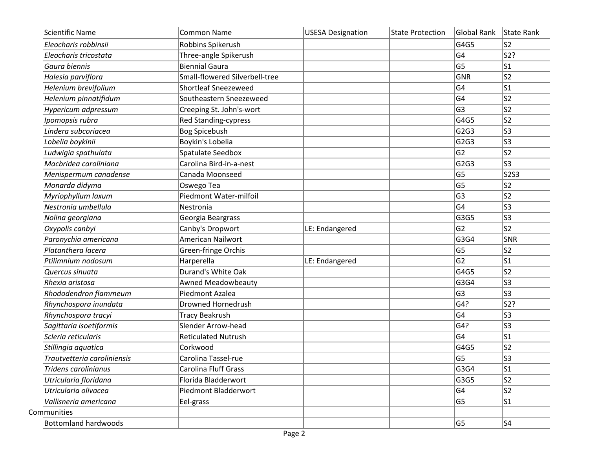| <b>Scientific Name</b>      | <b>Common Name</b>             | <b>USESA Designation</b> | <b>State Protection</b> | Global Rank       | State Rank     |
|-----------------------------|--------------------------------|--------------------------|-------------------------|-------------------|----------------|
| Eleocharis robbinsii        | Robbins Spikerush              |                          |                         | G4G5              | S2             |
| Eleocharis tricostata       | Three-angle Spikerush          |                          |                         | G <sub>4</sub>    | S2?            |
| Gaura biennis               | <b>Biennial Gaura</b>          |                          |                         | G5                | lS1            |
| Halesia parviflora          | Small-flowered Silverbell-tree |                          |                         | <b>GNR</b>        | S2             |
| Helenium brevifolium        | <b>Shortleaf Sneezeweed</b>    |                          |                         | G4                | S1             |
| Helenium pinnatifidum       | Southeastern Sneezeweed        |                          |                         | G4                | S2             |
| Hypericum adpressum         | Creeping St. John's-wort       |                          |                         | G3                | S <sub>2</sub> |
| Ipomopsis rubra             | Red Standing-cypress           |                          |                         | G4G5              | S <sub>2</sub> |
| Lindera subcoriacea         | <b>Bog Spicebush</b>           |                          |                         | G <sub>2G</sub> 3 | S3             |
| Lobelia boykinii            | Boykin's Lobelia               |                          |                         | G <sub>2G</sub> 3 | S3             |
| Ludwigia spathulata         | Spatulate Seedbox              |                          |                         | G <sub>2</sub>    | S2             |
| Macbridea caroliniana       | Carolina Bird-in-a-nest        |                          |                         | G2G3              | ls3            |
| Menispermum canadense       | Canada Moonseed                |                          |                         | G5                | S2S3           |
| Monarda didyma              | Oswego Tea                     |                          |                         | G5                | S2             |
| Myriophyllum laxum          | Piedmont Water-milfoil         |                          |                         | G3                | S2             |
| Nestronia umbellula         | Nestronia                      |                          |                         | G4                | S3             |
| Nolina georgiana            | Georgia Beargrass              |                          |                         | G3G5              | S3             |
| Oxypolis canbyi             | Canby's Dropwort               | LE: Endangered           |                         | G <sub>2</sub>    | S <sub>2</sub> |
| Paronychia americana        | American Nailwort              |                          |                         | G3G4              | $ {\sf SNR}$   |
| Platanthera lacera          | Green-fringe Orchis            |                          |                         | G5                | S2             |
| Ptilimnium nodosum          | Harperella                     | LE: Endangered           |                         | G <sub>2</sub>    | S1             |
| Quercus sinuata             | Durand's White Oak             |                          |                         | G4G5              | S <sub>2</sub> |
| Rhexia aristosa             | <b>Awned Meadowbeauty</b>      |                          |                         | G3G4              | S3             |
| Rhododendron flammeum       | Piedmont Azalea                |                          |                         | G3                | S3             |
| Rhynchospora inundata       | <b>Drowned Hornedrush</b>      |                          |                         | G4?               | S2?            |
| Rhynchospora tracyi         | <b>Tracy Beakrush</b>          |                          |                         | G4                | S3             |
| Sagittaria isoetiformis     | Slender Arrow-head             |                          |                         | G4?               | S3             |
| Scleria reticularis         | <b>Reticulated Nutrush</b>     |                          |                         | G <sub>4</sub>    | S1             |
| Stillingia aquatica         | Corkwood                       |                          |                         | G4G5              | S <sub>2</sub> |
| Trautvetteria caroliniensis | Carolina Tassel-rue            |                          |                         | G5                | S3             |
| Tridens carolinianus        | Carolina Fluff Grass           |                          |                         | G3G4              | S1             |
| Utricularia floridana       | Florida Bladderwort            |                          |                         | G3G5              | S <sub>2</sub> |
| Utricularia olivacea        | Piedmont Bladderwort           |                          |                         | G4                | S2             |
| Vallisneria americana       | Eel-grass                      |                          |                         | G5                | S1             |
| Communities                 |                                |                          |                         |                   |                |
| <b>Bottomland hardwoods</b> |                                |                          |                         | G5                | S4             |